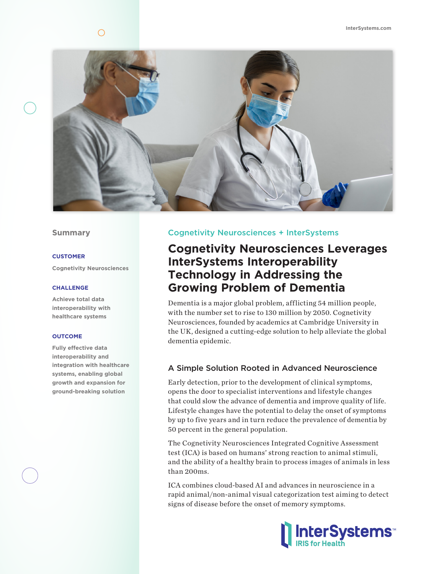

### **Summary**

### **CUSTOMER**

**Cognetivity Neurosciences**

### **CHALLENGE**

**Achieve total data interoperability with healthcare systems**

#### **OUTCOME**

**Fully effective data interoperability and integration with healthcare systems, enabling global growth and expansion for ground-breaking solution**

## Cognetivity Neurosciences + InterSystems

# **Cognetivity Neurosciences Leverages InterSystems Interoperability Technology in Addressing the Growing Problem of Dementia**

Dementia is a major global problem, afflicting 54 million people, with the number set to rise to 130 million by 2050. Cognetivity Neurosciences, founded by academics at Cambridge University in the UK, designed a cutting-edge solution to help alleviate the global dementia epidemic.

### A Simple Solution Rooted in Advanced Neuroscience

Early detection, prior to the development of clinical symptoms, opens the door to specialist interventions and lifestyle changes that could slow the advance of dementia and improve quality of life. Lifestyle changes have the potential to delay the onset of symptoms by up to five years and in turn reduce the prevalence of dementia by 50 percent in the general population.

The Cognetivity Neurosciences Integrated Cognitive Assessment test (ICA) is based on humans' strong reaction to animal stimuli, and the ability of a healthy brain to process images of animals in less than 200ms.

ICA combines cloud-based AI and advances in neuroscience in a rapid animal/non-animal visual categorization test aiming to detect signs of disease before the onset of memory symptoms.

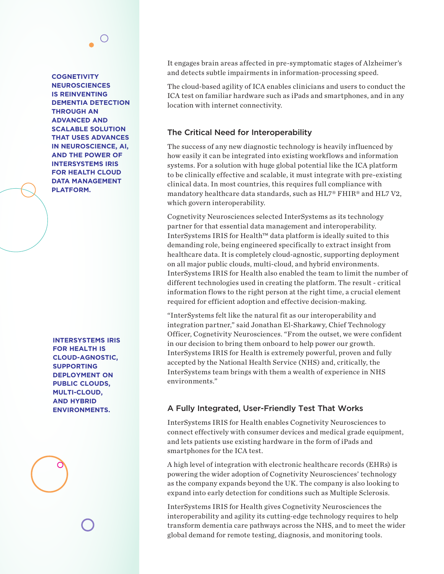**COGNETIVITY NEUROSCIENCES IS REINVENTING DEMENTIA DETECTION THROUGH AN ADVANCED AND SCALABLE SOLUTION THAT USES ADVANCES IN NEUROSCIENCE, AI, AND THE POWER OF INTERSYSTEMS IRIS FOR HEALTH CLOUD DATA MANAGEMENT PLATFORM.**

**INTERSYSTEMS IRIS FOR HEALTH IS CLOUD-AGNOSTIC, SUPPORTING DEPLOYMENT ON PUBLIC CLOUDS, MULTI-CLOUD, AND HYBRID ENVIRONMENTS.**

It engages brain areas affected in pre-symptomatic stages of Alzheimer's and detects subtle impairments in information-processing speed.

The cloud-based agility of ICA enables clinicians and users to conduct the ICA test on familiar hardware such as iPads and smartphones, and in any location with internet connectivity.

## The Critical Need for Interoperability

The success of any new diagnostic technology is heavily influenced by how easily it can be integrated into existing workflows and information systems. For a solution with huge global potential like the ICA platform to be clinically effective and scalable, it must integrate with pre-existing clinical data. In most countries, this requires full compliance with mandatory healthcare data standards, such as HL7® FHIR® and HL7 V2, which govern interoperability.

Cognetivity Neurosciences selected InterSystems as its technology partner for that essential data management and interoperability. InterSystems IRIS for Health™ data platform is ideally suited to this demanding role, being engineered specifically to extract insight from healthcare data. It is completely cloud-agnostic, supporting deployment on all major public clouds, multi-cloud, and hybrid environments. InterSystems IRIS for Health also enabled the team to limit the number of different technologies used in creating the platform. The result - critical information flows to the right person at the right time, a crucial element required for efficient adoption and effective decision-making.

"InterSystems felt like the natural fit as our interoperability and integration partner," said Jonathan El-Sharkawy, Chief Technology Officer, Cognetivity Neurosciences. "From the outset, we were confident in our decision to bring them onboard to help power our growth. InterSystems IRIS for Health is extremely powerful, proven and fully accepted by the National Health Service (NHS) and, critically, the InterSystems team brings with them a wealth of experience in NHS environments."

# A Fully Integrated, User-Friendly Test That Works

InterSystems IRIS for Health enables Cognetivity Neurosciences to connect effectively with consumer devices and medical grade equipment, and lets patients use existing hardware in the form of iPads and smartphones for the ICA test.

A high level of integration with electronic healthcare records (EHRs) is powering the wider adoption of Cognetivity Neurosciences' technology as the company expands beyond the UK. The company is also looking to expand into early detection for conditions such as Multiple Sclerosis.

InterSystems IRIS for Health gives Cognetivity Neurosciences the interoperability and agility its cutting-edge technology requires to help transform dementia care pathways across the NHS, and to meet the wider global demand for remote testing, diagnosis, and monitoring tools.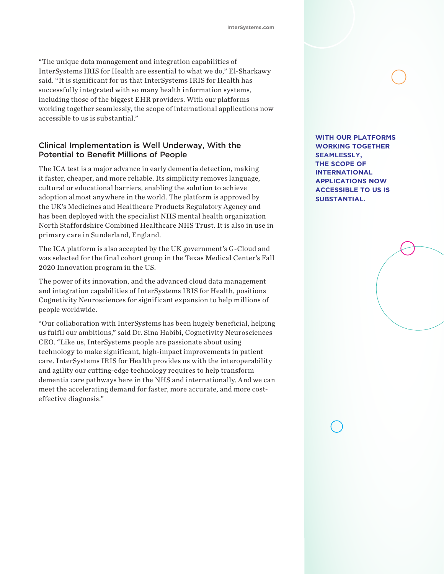"The unique data management and integration capabilities of InterSystems IRIS for Health are essential to what we do," El-Sharkawy said. "It is significant for us that InterSystems IRIS for Health has successfully integrated with so many health information systems, including those of the biggest EHR providers. With our platforms working together seamlessly, the scope of international applications now accessible to us is substantial."

## Clinical Implementation is Well Underway, With the Potential to Benefit Millions of People

The ICA test is a major advance in early dementia detection, making it faster, cheaper, and more reliable. Its simplicity removes language, cultural or educational barriers, enabling the solution to achieve adoption almost anywhere in the world. The platform is approved by the UK's Medicines and Healthcare Products Regulatory Agency and has been deployed with the specialist NHS mental health organization North Staffordshire Combined Healthcare NHS Trust. It is also in use in primary care in Sunderland, England.

The ICA platform is also accepted by the UK government's G-Cloud and was selected for the final cohort group in the Texas Medical Center's Fall 2020 Innovation program in the US.

The power of its innovation, and the advanced cloud data management and integration capabilities of InterSystems IRIS for Health, positions Cognetivity Neurosciences for significant expansion to help millions of people worldwide.

"Our collaboration with InterSystems has been hugely beneficial, helping us fulfil our ambitions," said Dr. Sina Habibi, Cognetivity Neurosciences CEO. "Like us, InterSystems people are passionate about using technology to make significant, high-impact improvements in patient care. InterSystems IRIS for Health provides us with the interoperability and agility our cutting-edge technology requires to help transform dementia care pathways here in the NHS and internationally. And we can meet the accelerating demand for faster, more accurate, and more costeffective diagnosis."

**WITH OUR PLATFORMS WORKING TOGETHER SEAMLESSLY, THE SCOPE OF INTERNATIONAL APPLICATIONS NOW ACCESSIBLE TO US IS SUBSTANTIAL.**